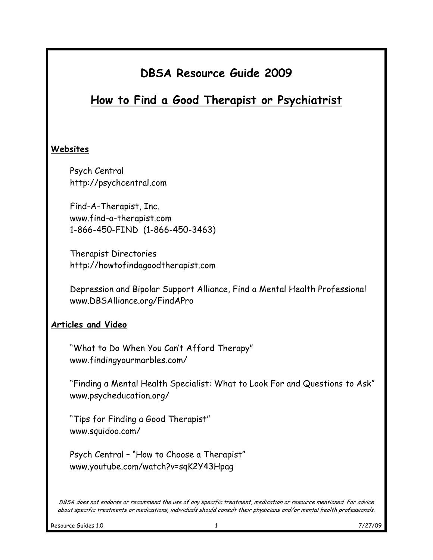## How to Find a Good Therapist or Psychiatrist

#### Websites

Psych Central http://psychcentral.com

Find-A-Therapist, Inc. www.find-a-therapist.com 1-866-450-FIND (1-866-450-3463)

Therapist Directories http://howtofindagoodtherapist.com

Depression and Bipolar Support Alliance, Find a Mental Health Professional www.DBSAlliance.org/FindAPro

#### Articles and Video

"What to Do When You Can't Afford Therapy" www.findingyourmarbles.com/

"Finding a Mental Health Specialist: What to Look For and Questions to Ask" www.psycheducation.org/

"Tips for Finding a Good Therapist" www.squidoo.com/

Psych Central – "How to Choose a Therapist" www.youtube.com/watch?v=sqK2Y43Hpag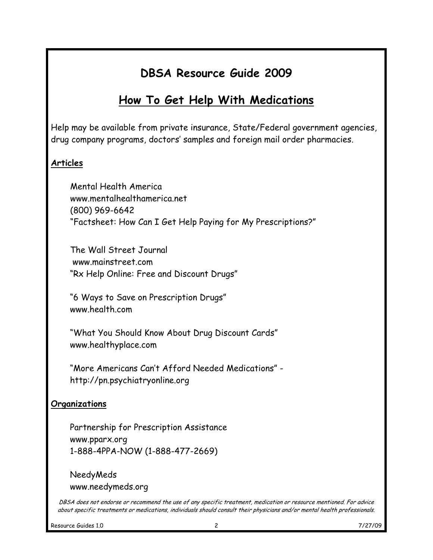# How To Get Help With Medications

Help may be available from private insurance, State/Federal government agencies, drug company programs, doctors' samples and foreign mail order pharmacies.

### Articles

Mental Health America www.mentalhealthamerica.net (800) 969-6642 "Factsheet: How Can I Get Help Paying for My Prescriptions?"

The Wall Street Journal www.mainstreet.com "Rx Help Online: Free and Discount Drugs"

"6 Ways to Save on Prescription Drugs" www.health.com

"What You Should Know About Drug Discount Cards" www.healthyplace.com

"More Americans Can't Afford Needed Medications" http://pn.psychiatryonline.org

#### **Organizations**

Partnership for Prescription Assistance www.pparx.org 1-888-4PPA-NOW (1-888-477-2669)

NeedyMeds www.needymeds.org

DBSA does not endorse or recommend the use of any specific treatment, medication or resource mentioned. For advice about specific treatments or medications, individuals should consult their physicians and/or mental health professionals.

Resource Guides 1.0 2 2 7/27/09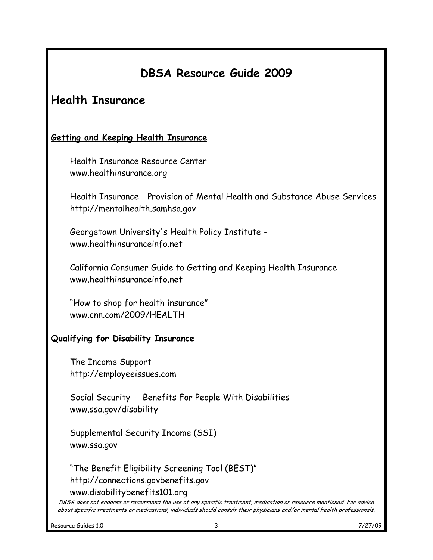### Health Insurance

#### Getting and Keeping Health Insurance

Health Insurance Resource Center www.healthinsurance.org

Health Insurance - Provision of Mental Health and Substance Abuse Services http://mentalhealth.samhsa.gov

Georgetown University's Health Policy Institute www.healthinsuranceinfo.net

California Consumer Guide to Getting and Keeping Health Insurance www.healthinsuranceinfo.net

"How to shop for health insurance" www.cnn.com/2009/HEALTH

#### Qualifying for Disability Insurance

The Income Support http://employeeissues.com

Social Security -- Benefits For People With Disabilities www.ssa.gov/disability

Supplemental Security Income (SSI) www.ssa.gov

"The Benefit Eligibility Screening Tool (BEST)" http://connections.govbenefits.gov www.disabilitybenefits101.org

DBSA does not endorse or recommend the use of any specific treatment, medication or resource mentioned. For advice about specific treatments or medications, individuals should consult their physicians and/or mental health professionals.

Resource Guides 1.0 **3** 7/27/09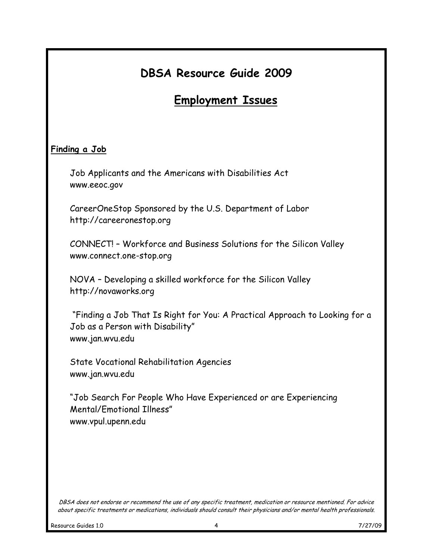## Employment Issues

#### Finding a Job

Job Applicants and the Americans with Disabilities Act www.eeoc.gov

CareerOneStop Sponsored by the U.S. Department of Labor http://careeronestop.org

CONNECT! – Workforce and Business Solutions for the Silicon Valley www.connect.one-stop.org

NOVA – Developing a skilled workforce for the Silicon Valley http://novaworks.org

 "Finding a Job That Is Right for You: A Practical Approach to Looking for a Job as a Person with Disability" www.jan.wvu.edu

State Vocational Rehabilitation Agencies www.jan.wvu.edu

"Job Search For People Who Have Experienced or are Experiencing Mental/Emotional Illness" www.vpul.upenn.edu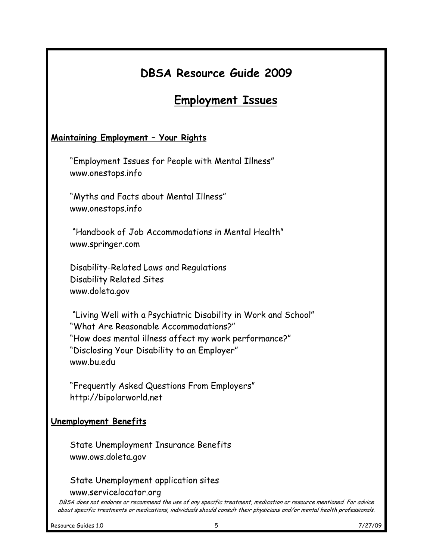### Employment Issues

#### Maintaining Employment – Your Rights

"Employment Issues for People with Mental Illness" www.onestops.info

"Myths and Facts about Mental Illness" www.onestops.info

 "Handbook of Job Accommodations in Mental Health" www.springer.com

Disability-Related Laws and Regulations Disability Related Sites www.doleta.gov

 "Living Well with a Psychiatric Disability in Work and School" "What Are Reasonable Accommodations?" "How does mental illness affect my work performance?" "Disclosing Your Disability to an Employer" www.bu.edu

"Frequently Asked Questions From Employers" http://bipolarworld.net

#### Unemployment Benefits

State Unemployment Insurance Benefits www.ows.doleta.gov

State Unemployment application sites

www.servicelocator.org

DBSA does not endorse or recommend the use of any specific treatment, medication or resource mentioned. For advice about specific treatments or medications, individuals should consult their physicians and/or mental health professionals.

Resource Guides 1.0 **7/27/09 5** 7/27/09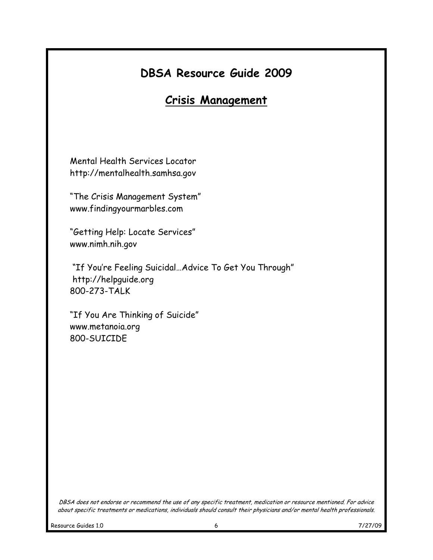### Crisis Management

Mental Health Services Locator http://mentalhealth.samhsa.gov

"The Crisis Management System" www.findingyourmarbles.com

"Getting Help: Locate Services" www.nimh.nih.gov

 "If You're Feeling Suicidal…Advice To Get You Through" http://helpguide.org 800-273-TALK

"If You Are Thinking of Suicide" www.metanoia.org 800-SUICIDE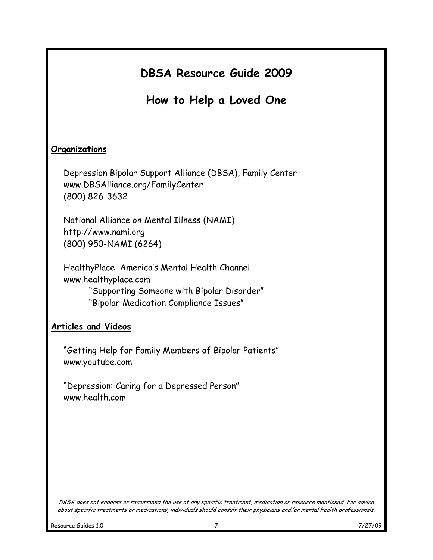How to Help a Loved One

#### **Organizations**

Depression Bipolar Support Alliance (DBSA), Family Center www.DBSAlliance.org/FamilyCenter (800) 826-3632

National Alliance on Mental Illness (NAMI) http://www.nami.org (800) 950-NAMI (6264)

HealthyPlace America's Mental Health Channel www.healthyplace.com "Supporting Someone with Bipolar Disorder" "Bipolar Medication Compliance Issues"

#### Articles and Videos

"Getting Help for Family Members of Bipolar Patients" www.youtube.com

"Depression: Caring for a Depressed Person" www.health.com